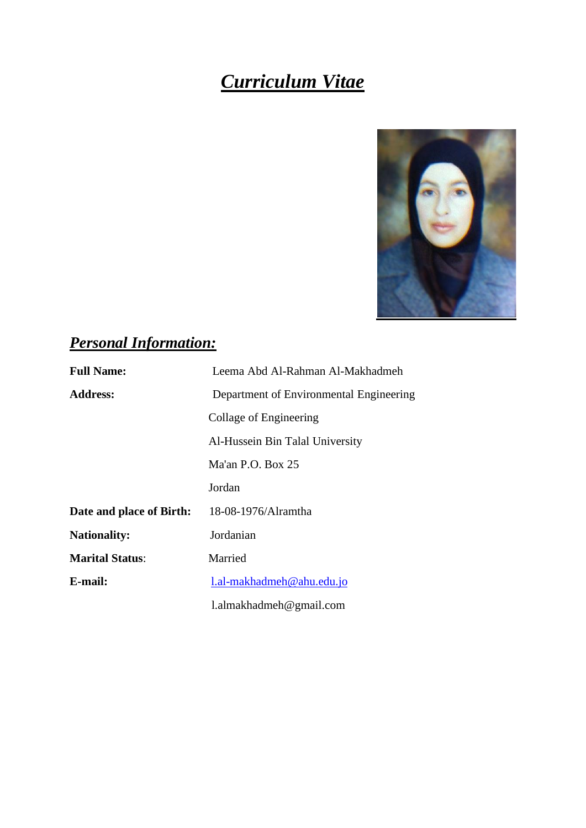# *Curriculum Vitae*



## *Personal Information:*

| <b>Full Name:</b>        | Leema Abd Al-Rahman Al-Makhadmeh        |
|--------------------------|-----------------------------------------|
| <b>Address:</b>          | Department of Environmental Engineering |
|                          | Collage of Engineering                  |
|                          | Al-Hussein Bin Talal University         |
|                          | Ma'an P.O. Box $25$                     |
|                          | Jordan                                  |
| Date and place of Birth: | 18-08-1976/Alramtha                     |
| <b>Nationality:</b>      | Jordanian                               |
| <b>Marital Status:</b>   | Married                                 |
| E-mail:                  | 1.al-makhadmeh@ahu.edu.jo               |
|                          | $l$ .almakhadmeh@gmail.com              |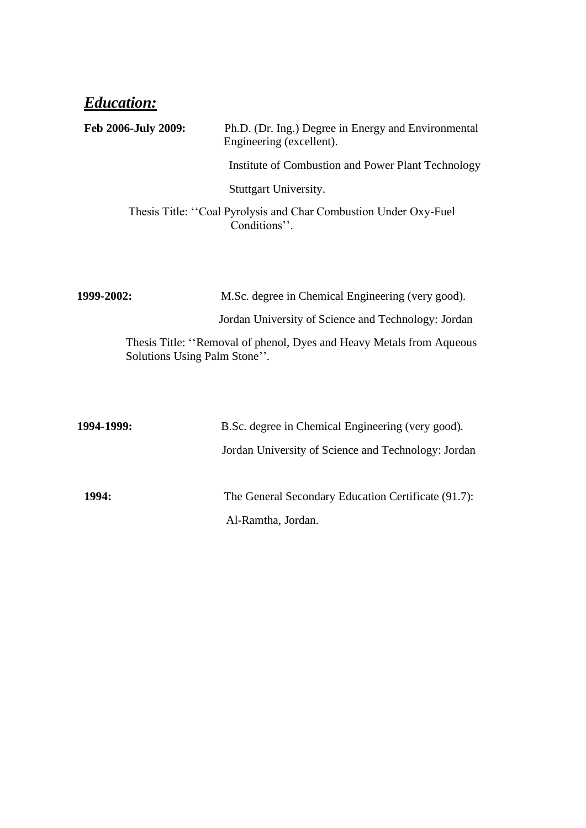### *Education:*

| Feb 2006-July 2009:          | Ph.D. (Dr. Ing.) Degree in Energy and Environmental<br>Engineering (excellent).  |
|------------------------------|----------------------------------------------------------------------------------|
|                              | Institute of Combustion and Power Plant Technology                               |
|                              | Stuttgart University.                                                            |
|                              | Thesis Title: "Coal Pyrolysis and Char Combustion Under Oxy-Fuel<br>Conditions". |
|                              |                                                                                  |
| 1999-2002:                   | M.Sc. degree in Chemical Engineering (very good).                                |
|                              | Jordan University of Science and Technology: Jordan                              |
| Solutions Using Palm Stone". | Thesis Title: "Removal of phenol, Dyes and Heavy Metals from Aqueous             |
|                              |                                                                                  |
| 1994-1999:                   | B.Sc. degree in Chemical Engineering (very good).                                |
|                              | Jordan University of Science and Technology: Jordan                              |
| 1994:                        | The General Secondary Education Certificate (91.7):                              |

Al-Ramtha, Jordan.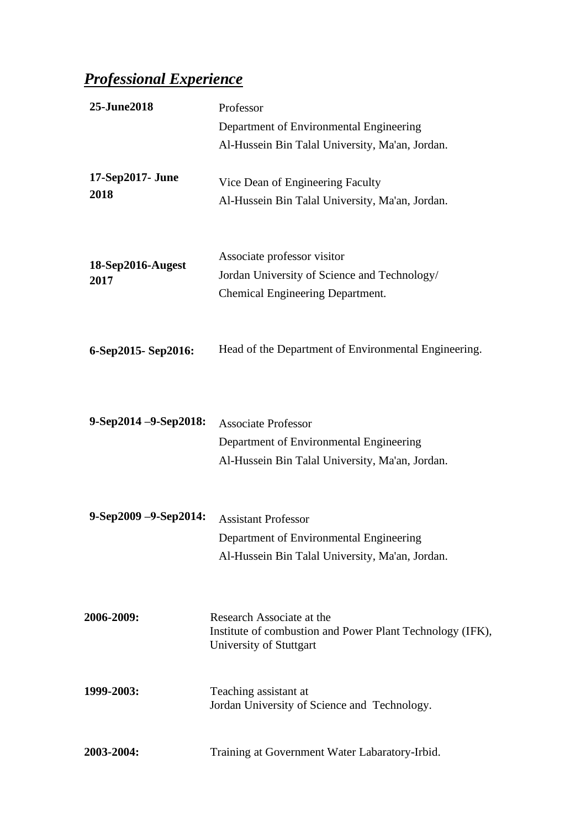# *Professional Experience*

| 25-June2018               | Professor<br>Department of Environmental Engineering                                                                     |
|---------------------------|--------------------------------------------------------------------------------------------------------------------------|
|                           | Al-Hussein Bin Talal University, Ma'an, Jordan.                                                                          |
| 17-Sep2017- June<br>2018  | Vice Dean of Engineering Faculty<br>Al-Hussein Bin Talal University, Ma'an, Jordan.                                      |
| 18-Sep2016-Augest<br>2017 | Associate professor visitor<br>Jordan University of Science and Technology/<br>Chemical Engineering Department.          |
| 6-Sep2015-Sep2016:        | Head of the Department of Environmental Engineering.                                                                     |
| $9-Sep2014 - 9-Sep2018$ : | <b>Associate Professor</b><br>Department of Environmental Engineering<br>Al-Hussein Bin Talal University, Ma'an, Jordan. |
| $9-Sep2009 - 9-Sep2014$ : | <b>Assistant Professor</b><br>Department of Environmental Engineering<br>Al-Hussein Bin Talal University, Ma'an, Jordan. |
| 2006-2009:                | Research Associate at the<br>Institute of combustion and Power Plant Technology (IFK),<br>University of Stuttgart        |
| 1999-2003:                | Teaching assistant at<br>Jordan University of Science and Technology.                                                    |
| 2003-2004:                | Training at Government Water Labaratory-Irbid.                                                                           |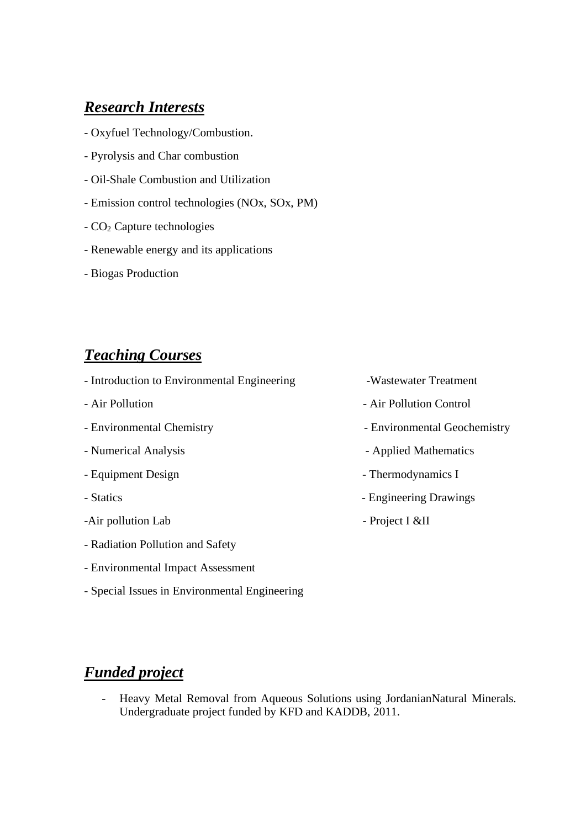#### *Research Interests*

- Oxyfuel Technology/Combustion.
- Pyrolysis and Char combustion
- Oil-Shale Combustion and Utilization
- Emission control technologies (NOx, SOx, PM)
- CO<sup>2</sup> Capture technologies
- Renewable energy and its applications
- Biogas Production

#### *Teaching Courses*

- Introduction to Environmental Engineering -Wastewater Treatment
- 
- 
- 
- 
- 
- -Air pollution Lab Project I &II
- Radiation Pollution and Safety
- Environmental Impact Assessment
- Special Issues in Environmental Engineering
- 
- Air Pollution  **Air Pollution** Air Pollution Control
- Environmental Chemistry  **Environmental Geochemistry**
- Numerical Analysis  **Applied Mathematics**
- Equipment Design Thermodynamics I
- Statics  **Engineering Drawings** 
	-

#### *Funded project*

- Heavy Metal Removal from Aqueous Solutions using JordanianNatural Minerals. Undergraduate project funded by KFD and KADDB, 2011.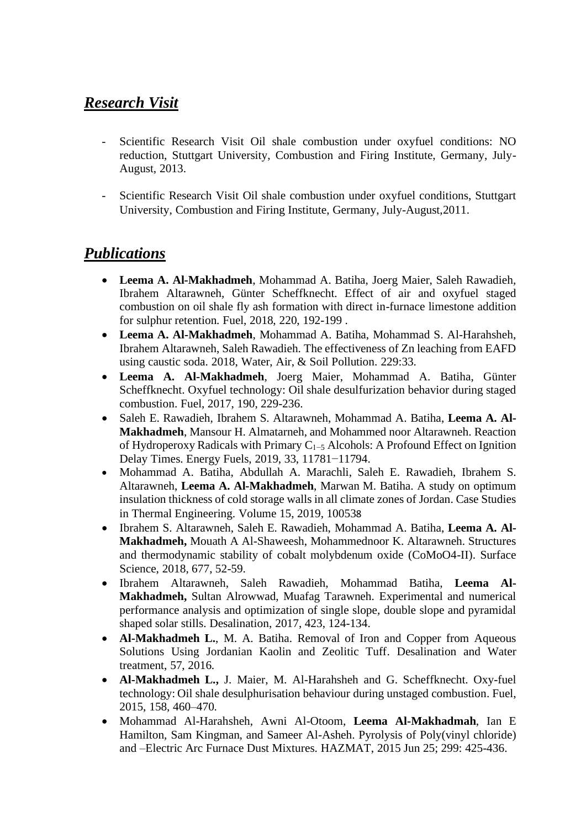#### *Research Visit*

- Scientific Research Visit Oil shale combustion under oxyfuel conditions: NO reduction, Stuttgart University, Combustion and Firing Institute, Germany, July-August, 2013.
- Scientific Research Visit Oil shale combustion under oxyfuel conditions, Stuttgart University, Combustion and Firing Institute, Germany, July-August,2011.

#### *Publications*

- **Leema A. Al-Makhadmeh**, Mohammad A. Batiha, Joerg Maier, Saleh Rawadieh, Ibrahem Altarawneh, Günter Scheffknecht. Effect of air and oxyfuel staged combustion on oil shale fly ash formation with direct in-furnace limestone addition for sulphur retention. Fuel, 2018, 220, 192-199 .
- **Leema A. Al-Makhadmeh**, Mohammad A. Batiha, Mohammad S. Al-Harahsheh, Ibrahem Altarawneh, Saleh Rawadieh. The effectiveness of Zn leaching from EAFD using caustic soda. 2018, Water, Air, & Soil Pollution. 229:33.
- **Leema A. Al-Makhadmeh**, Joerg Maier, Mohammad A. Batiha, Günter Scheffknecht. Oxyfuel technology: Oil shale [desulfurization behavior during staged](http://www.sciencedirect.com/science/article/pii/S0016236116311164)  [combustion.](http://www.sciencedirect.com/science/article/pii/S0016236116311164) Fuel, 2017, 190, 229-236.
- Saleh E. Rawadieh, Ibrahem S. Altarawneh, Mohammad A. Batiha, **Leema A. Al-Makhadmeh**, Mansour H. Almatarneh, and Mohammed noor Altarawneh. Reaction of Hydroperoxy Radicals with Primary C1−5 Alcohols: A Profound Effect on Ignition Delay Times. Energy Fuels, 2019, 33, 11781−11794.
- [Mohammad A.](https://www.sciencedirect.com/science/article/pii/S2214157X19302473#!) Batiha, [Abdullah A.](https://www.sciencedirect.com/science/article/pii/S2214157X19302473#!) Marachli, Saleh E. [Rawadieh,](https://www.sciencedirect.com/science/article/pii/S2214157X19302473#!) [Ibrahem S.](https://www.sciencedirect.com/science/article/pii/S2214157X19302473#!) [Altarawneh,](https://www.sciencedirect.com/science/article/pii/S2214157X19302473#!) **Leema A. [Al-Makhadmeh](https://www.sciencedirect.com/science/article/pii/S2214157X19302473#!)**, [Marwan M.](https://www.sciencedirect.com/science/article/pii/S2214157X19302473#!) Batiha. A study on optimum insulation thickness of cold storage walls in all climate zones of Jordan. [Case Studies](https://www.sciencedirect.com/science/journal/2214157X)  [in Thermal Engineering.](https://www.sciencedirect.com/science/journal/2214157X) [Volume 15,](https://www.sciencedirect.com/science/journal/2214157X/15/supp/C) 2019, 100538
- Ibrahem S. Altarawneh, Saleh E. Rawadieh, Mohammad A. Batiha, **Leema A. Al-Makhadmeh,** Mouath A Al-Shaweesh, Mohammednoor K. Altarawneh. Structures and thermodynamic stability of cobalt molybdenum oxide (CoMoO4-II). Surface Science, 2018, 677, 52-59.
- Ibrahem Altarawneh, Saleh Rawadieh, Mohammad Batiha, **Leema Al-Makhadmeh,** Sultan Alrowwad, Muafag Tarawneh. Experimental and numerical performance analysis and optimization of single slope, double slope and pyramidal shaped solar stills. Desalination, 2017, 423, 124-134.
- **Al-Makhadmeh L.**, M. A. Batiha. Removal of Iron and Copper from Aqueous Solutions Using Jordanian Kaolin and Zeolitic Tuff. Desalination and Water treatment, 57, 2016.
- **Al-Makhadmeh L.,** J. Maier, M. Al-Harahsheh and G. Scheffknecht. Oxy-fuel technology: Oil shale desulphurisation behaviour during unstaged combustion. Fuel, 2015, 158, 460–470.
- Mohammad Al-Harahsheh, Awni Al-Otoom, **Leema Al-Makhadmah**, Ian E Hamilton, Sam Kingman, and Sameer Al-Asheh. Pyrolysis of Poly(vinyl chloride) and –Electric Arc Furnace Dust Mixtures. HAZMAT, 2015 Jun 25; 299: 425-436.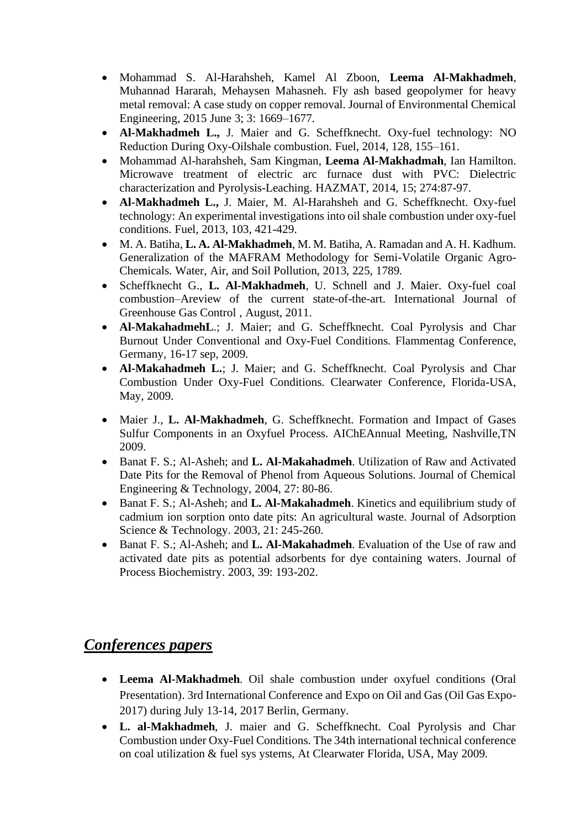- Mohammad S. Al-Harahsheh, Kamel Al Zboon, **Leema Al-Makhadmeh**, Muhannad Hararah, Mehaysen Mahasneh. Fly ash based geopolymer for heavy metal removal: A case study on copper removal. Journal of Environmental Chemical Engineering, 2015 June 3; 3: 1669–1677.
- **Al-Makhadmeh L.,** J. Maier and G. Scheffknecht. Oxy-fuel technology: NO Reduction During Oxy-Oilshale combustion. Fuel, 2014, 128, 155–161.
- Mohammad Al-harahsheh, Sam Kingman, **Leema Al-Makhadmah**, Ian Hamilton. Microwave treatment of electric arc furnace dust with PVC: Dielectric characterization and Pyrolysis-Leaching. HAZMAT, 2014, 15; 274:87-97.
- **Al-Makhadmeh L.,** J. Maier, M. Al-Harahsheh and G. Scheffknecht. Oxy-fuel technology: An experimental investigations into oil shale combustion under oxy-fuel conditions. Fuel, 2013, 103, 421-429.
- M. A. Batiha, **L. A. Al-Makhadmeh**, M. M. Batiha, A. Ramadan and A. H. Kadhum. Generalization of the MAFRAM Methodology for Semi-Volatile Organic Agro-Chemicals. Water, Air, and Soil Pollution, 2013, 225, 1789.
- Scheffknecht G., **L. Al-Makhadmeh**, U. Schnell and J. Maier. Oxy-fuel coal combustion–Areview of the current state-of-the-art. International Journal of Greenhouse Gas Control , August, 2011.
- **Al-MakahadmehL**.; J. Maier; and G. Scheffknecht. Coal Pyrolysis and Char Burnout Under Conventional and Oxy-Fuel Conditions. Flammentag Conference, Germany, 16-17 sep, 2009.
- **Al-Makahadmeh L.**; J. Maier; and G. Scheffknecht. Coal Pyrolysis and Char Combustion Under Oxy-Fuel Conditions. Clearwater Conference, Florida-USA, May, 2009.
- Maier J., **L. Al-Makhadmeh**, G. Scheffknecht. Formation and Impact of Gases Sulfur Components in an Oxyfuel Process. AIChEAnnual Meeting, Nashville,TN 2009.
- Banat F. S.; Al-Asheh; and **L. Al-Makahadmeh**. Utilization of Raw and Activated Date Pits for the Removal of Phenol from Aqueous Solutions. Journal of Chemical Engineering & Technology, 2004, 27: 80-86.
- Banat F. S.; Al-Asheh; and **L. Al-Makahadmeh**. Kinetics and equilibrium study of cadmium ion sorption onto date pits: An agricultural waste. Journal of Adsorption Science & Technology. 2003, 21: 245-260.
- Banat F. S.; Al-Asheh; and **L. Al-Makahadmeh**. Evaluation of the Use of raw and activated date pits as potential adsorbents for dye containing waters. Journal of Process Biochemistry. 2003, 39: 193-202.

#### *Conferences papers*

- **Leema Al-Makhadmeh**. Oil shale combustion under oxyfuel conditions (Oral Presentation). 3rd International Conference and Expo on Oil and Gas (Oil Gas Expo-2017) during July 13-14, 2017 Berlin, Germany.
- **L. al-Makhadmeh**, J. maier and G. Scheffknecht. Coal Pyrolysis and Char Combustion under Oxy-Fuel Conditions. The 34th international technical conference on coal utilization & fuel sys ystems, At Clearwater Florida, USA, May 2009.